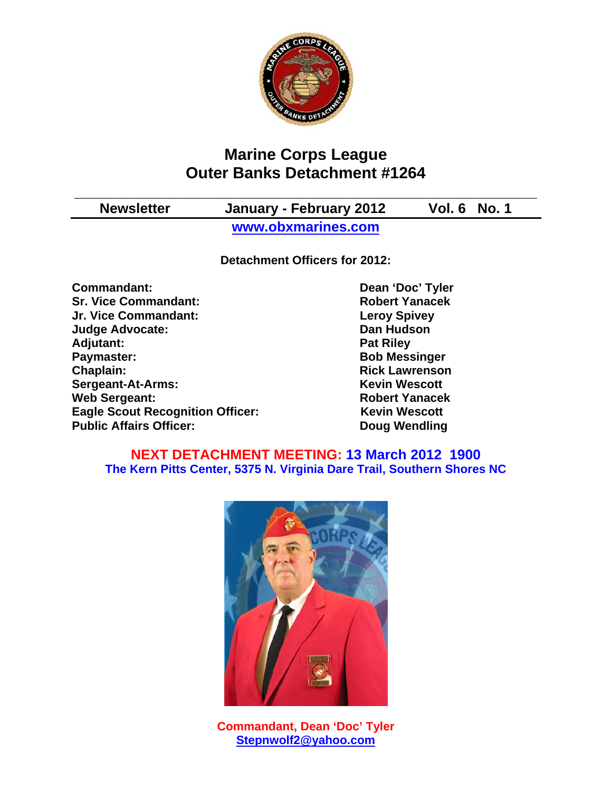

# **Marine Corps League Outer Banks Detachment #1264**

**\_\_\_\_\_\_\_\_\_\_\_\_\_\_\_\_\_\_\_\_\_\_\_\_\_\_\_\_\_\_\_\_\_\_\_\_\_\_\_\_\_\_\_\_\_\_\_\_\_\_\_\_ Newsletter January - February 2012 Vol. 6 No. 1 www.obxmarines.com**

**Detachment Officers for 2012:** 

**Commandant:** Dean 'Doc' Tyler **Sr. Vice Commandant:** Robert Yanacek **Jr. Vice Commandant: Leroy Spivey Judge Advocate: Dan Hudson**  Adjutant: **Pat Riley and Adjutant:** Pat Riley **Paymaster:** Bob Messinger **Chaplain: Chaplain: Rick Lawrenson Sergeant-At-Arms:** Kevin Wescott **Web Sergeant:** Web Sergeant:<br> **Eagle Scout Recognition Officer:** All Revin Wescott **Eagle Scout Recognition Officer: Public Affairs Officer:** Doug Wendling

#### **NEXT DETACHMENT MEETING: 13 March 2012 1900 The Kern Pitts Center, 5375 N. Virginia Dare Trail, Southern Shores NC**



**Commandant, Dean 'Doc' Tyler Stepnwolf2@yahoo.com**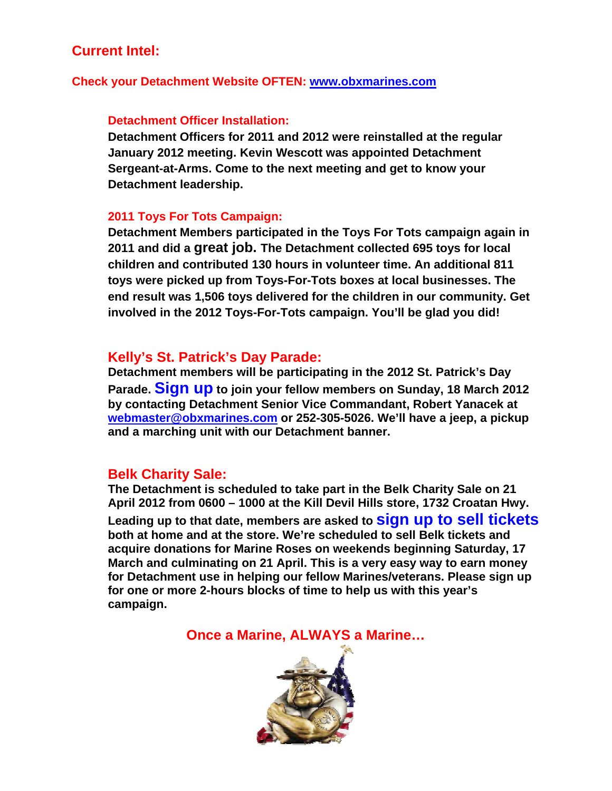# **Current Intel:**

#### **Check your Detachment Website OFTEN: www.obxmarines.com**

#### **Detachment Officer Installation:**

**Detachment Officers for 2011 and 2012 were reinstalled at the regular January 2012 meeting. Kevin Wescott was appointed Detachment Sergeant-at-Arms. Come to the next meeting and get to know your Detachment leadership.** 

#### **2011 Toys For Tots Campaign:**

**Detachment Members participated in the Toys For Tots campaign again in 2011 and did a great job. The Detachment collected 695 toys for local children and contributed 130 hours in volunteer time. An additional 811 toys were picked up from Toys-For-Tots boxes at local businesses. The end result was 1,506 toys delivered for the children in our community. Get involved in the 2012 Toys-For-Tots campaign. You'll be glad you did!** 

#### **Kelly's St. Patrick's Day Parade:**

**Detachment members will be participating in the 2012 St. Patrick's Day Parade. Sign up to join your fellow members on Sunday, 18 March 2012 by contacting Detachment Senior Vice Commandant, Robert Yanacek at webmaster@obxmarines.com or 252-305-5026. We'll have a jeep, a pickup and a marching unit with our Detachment banner.** 

## **Belk Charity Sale:**

**The Detachment is scheduled to take part in the Belk Charity Sale on 21 April 2012 from 0600 – 1000 at the Kill Devil Hills store, 1732 Croatan Hwy. Leading up to that date, members are asked to sign up to sell tickets both at home and at the store. We're scheduled to sell Belk tickets and acquire donations for Marine Roses on weekends beginning Saturday, 17 March and culminating on 21 April. This is a very easy way to earn money for Detachment use in helping our fellow Marines/veterans. Please sign up for one or more 2-hours blocks of time to help us with this year's campaign.** 

**Once a Marine, ALWAYS a Marine…** 

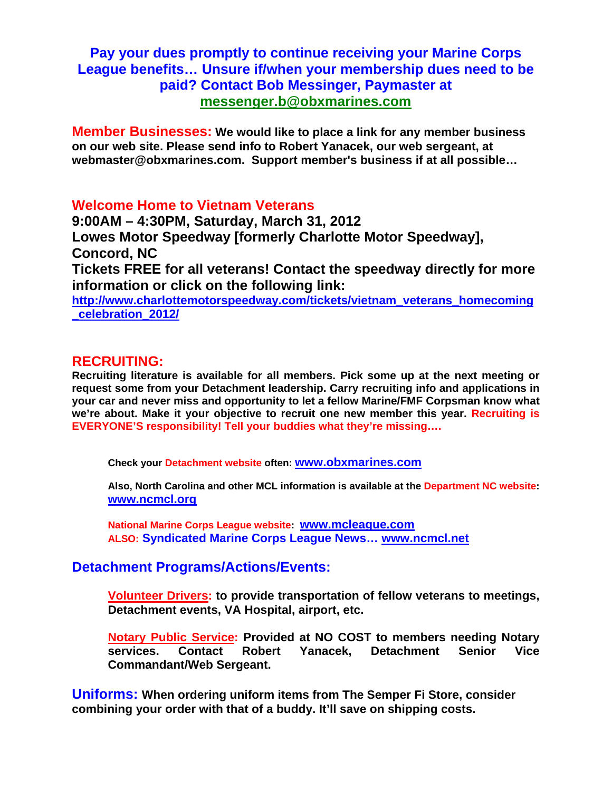## **Pay your dues promptly to continue receiving your Marine Corps League benefits… Unsure if/when your membership dues need to be paid? Contact Bob Messinger, Paymaster at messenger.b@obxmarines.com**

**Member Businesses: We would like to place a link for any member business on our web site. Please send info to Robert Yanacek, our web sergeant, at webmaster@obxmarines.com. Support member's business if at all possible…** 

**Welcome Home to Vietnam Veterans** 

**9:00AM – 4:30PM, Saturday, March 31, 2012 Lowes Motor Speedway [formerly Charlotte Motor Speedway], Concord, NC Tickets FREE for all veterans! Contact the speedway directly for more information or click on the following link: http://www.charlottemotorspeedway.com/tickets/vietnam\_veterans\_homecoming \_celebration\_2012/**

#### **RECRUITING:**

**Recruiting literature is available for all members. Pick some up at the next meeting or request some from your Detachment leadership. Carry recruiting info and applications in your car and never miss and opportunity to let a fellow Marine/FMF Corpsman know what we're about. Make it your objective to recruit one new member this year. Recruiting is EVERYONE'S responsibility! Tell your buddies what they're missing….** 

**Check your Detachment website often: www.obxmarines.com**

**Also, North Carolina and other MCL information is available at the Department NC website: www.ncmcl.org** 

**National Marine Corps League website: www.mcleague.com ALSO: Syndicated Marine Corps League News… www.ncmcl.net** 

## **Detachment Programs/Actions/Events:**

**Volunteer Drivers: to provide transportation of fellow veterans to meetings, Detachment events, VA Hospital, airport, etc.** 

**Notary Public Service: Provided at NO COST to members needing Notary services. Contact Robert Yanacek, Detachment Senior Vice Commandant/Web Sergeant.** 

**Uniforms: When ordering uniform items from The Semper Fi Store, consider combining your order with that of a buddy. It'll save on shipping costs.**